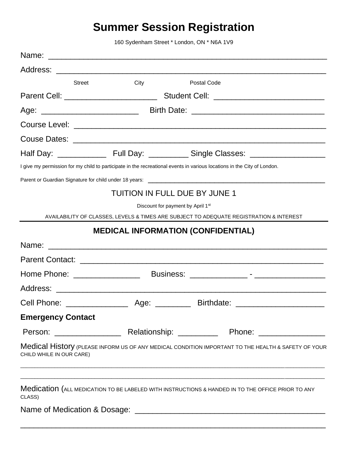## **Summer Session Registration**

160 Sydenham Street \* London, ON \* N6A 1V9

|                          | <b>Street</b> | City                          |                                   | Postal Code                                                                                                                                                                                                                |  |  |
|--------------------------|---------------|-------------------------------|-----------------------------------|----------------------------------------------------------------------------------------------------------------------------------------------------------------------------------------------------------------------------|--|--|
|                          |               |                               |                                   |                                                                                                                                                                                                                            |  |  |
|                          |               |                               |                                   |                                                                                                                                                                                                                            |  |  |
|                          |               |                               |                                   |                                                                                                                                                                                                                            |  |  |
|                          |               |                               |                                   |                                                                                                                                                                                                                            |  |  |
|                          |               |                               |                                   |                                                                                                                                                                                                                            |  |  |
|                          |               |                               |                                   | I give my permission for my child to participate in the recreational events in various locations in the City of London.                                                                                                    |  |  |
|                          |               |                               |                                   |                                                                                                                                                                                                                            |  |  |
|                          |               | TUITION IN FULL DUE BY JUNE 1 |                                   |                                                                                                                                                                                                                            |  |  |
|                          |               |                               | Discount for payment by April 1st |                                                                                                                                                                                                                            |  |  |
|                          |               |                               |                                   | AVAILABILITY OF CLASSES, LEVELS & TIMES ARE SUBJECT TO ADEQUATE REGISTRATION & INTEREST                                                                                                                                    |  |  |
|                          |               |                               |                                   | <b>MEDICAL INFORMATION (CONFIDENTIAL)</b>                                                                                                                                                                                  |  |  |
|                          |               |                               |                                   |                                                                                                                                                                                                                            |  |  |
|                          |               |                               |                                   |                                                                                                                                                                                                                            |  |  |
|                          |               |                               |                                   |                                                                                                                                                                                                                            |  |  |
|                          |               |                               |                                   |                                                                                                                                                                                                                            |  |  |
|                          |               |                               |                                   |                                                                                                                                                                                                                            |  |  |
| <b>Emergency Contact</b> |               |                               |                                   |                                                                                                                                                                                                                            |  |  |
|                          |               |                               |                                   |                                                                                                                                                                                                                            |  |  |
| CHILD WHILE IN OUR CARE) |               |                               |                                   | Medical History (PLEASE INFORM US OF ANY MEDICAL CONDITION IMPORTANT TO THE HEALTH & SAFETY OF YOUR                                                                                                                        |  |  |
| CLASS)                   |               |                               |                                   | <u> 1990 - Johann Stoff, deutscher Stoff, der Stoff, der Stoff, der Stoff, der Stoff, der Stoff, der Stoff, der S</u><br>Medication (ALL MEDICATION TO BE LABELED WITH INSTRUCTIONS & HANDED IN TO THE OFFICE PRIOR TO ANY |  |  |
|                          |               |                               |                                   |                                                                                                                                                                                                                            |  |  |